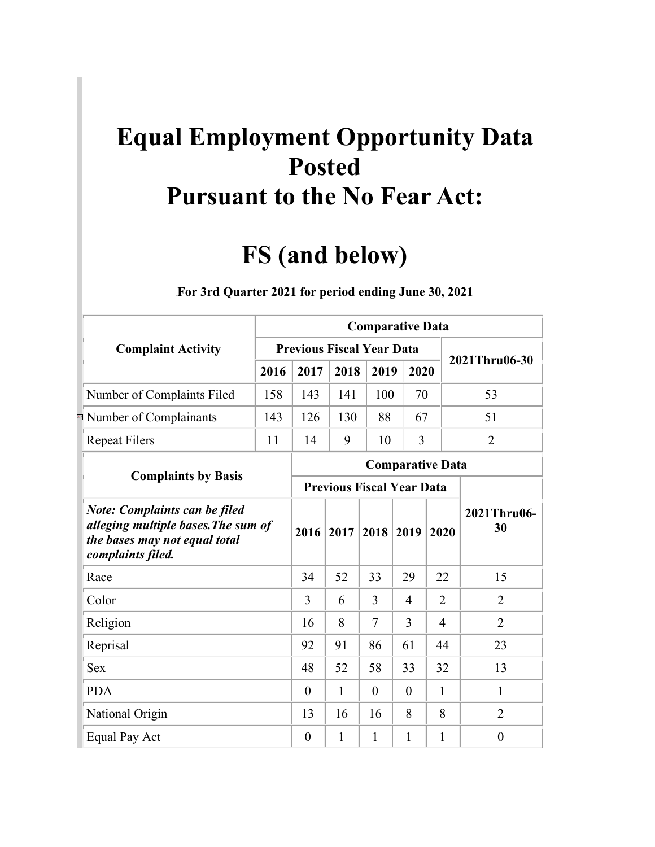## **Equal Employment Opportunity Data Posted Pursuant to the No Fear Act:**

## **FS (and below)**

|                |                                                                                                                                   |      |                                  |                                  |          | <b>Comparative Data</b> |                |                   |
|----------------|-----------------------------------------------------------------------------------------------------------------------------------|------|----------------------------------|----------------------------------|----------|-------------------------|----------------|-------------------|
|                | <b>Complaint Activity</b>                                                                                                         |      | <b>Previous Fiscal Year Data</b> |                                  |          |                         |                |                   |
|                |                                                                                                                                   | 2016 | 2017                             | 2018                             | 2019     | 2020                    |                | 2021Thru06-30     |
|                | Number of Complaints Filed                                                                                                        | 158  | 143                              | 141                              | 100      | 70                      |                | 53                |
| $\Xi^{\mu\nu}$ | Number of Complainants                                                                                                            | 143  | 126                              | 130                              | 88       | 67                      |                | 51                |
|                | <b>Repeat Filers</b>                                                                                                              | 11   | 14                               | 9                                | 10       | 3                       |                | $\overline{2}$    |
|                |                                                                                                                                   |      |                                  |                                  |          | <b>Comparative Data</b> |                |                   |
|                | <b>Complaints by Basis</b>                                                                                                        |      |                                  | <b>Previous Fiscal Year Data</b> |          |                         |                |                   |
|                | <b>Note: Complaints can be filed</b><br>alleging multiple bases. The sum of<br>the bases may not equal total<br>complaints filed. |      | 2016                             | 2017                             | 2018     | 2019                    | 2020           | 2021Thru06-<br>30 |
|                | Race                                                                                                                              |      | 34                               | 52                               | 33       | 29                      | 22             | 15                |
|                | Color                                                                                                                             |      | 3                                | 6                                | 3        | 4                       | $\overline{2}$ | $\overline{2}$    |
|                | Religion                                                                                                                          |      | 16                               | 8                                | 7        | 3                       | $\overline{4}$ | $\overline{2}$    |
|                | Reprisal                                                                                                                          |      | 92                               | 91                               | 86       | 61                      | 44             | 23                |
|                | <b>Sex</b>                                                                                                                        |      | 48                               | 52                               | 58       | 33                      | 32             | 13                |
|                | <b>PDA</b>                                                                                                                        |      | $\theta$                         | 1                                | $\theta$ | $\theta$                | 1              | 1                 |
|                | National Origin                                                                                                                   |      | 13                               | 16                               | 16       | 8                       | 8              | $\overline{2}$    |
|                | Equal Pay Act                                                                                                                     |      | $\overline{0}$                   | 1                                | 1        | 1                       | 1              | $\overline{0}$    |

1B**For 3rd Quarter 2021 for period ending June 30, 2021**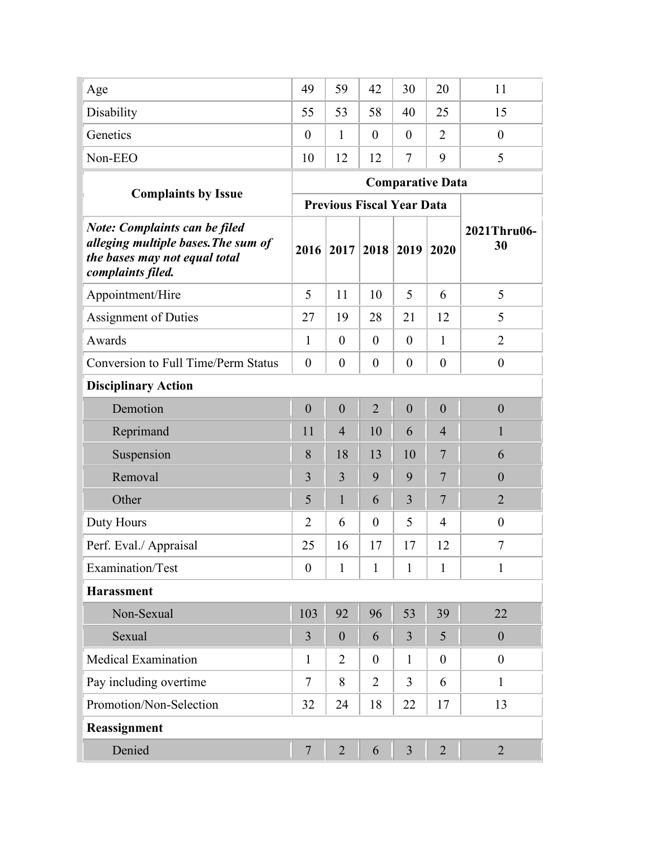| Age                                                                                                                               | 49               | 59                               | 42               | 30               | 20                      | 11                |
|-----------------------------------------------------------------------------------------------------------------------------------|------------------|----------------------------------|------------------|------------------|-------------------------|-------------------|
| Disability                                                                                                                        | 55               | 53                               | 58               | 40               | 25                      | 15                |
| Genetics                                                                                                                          | $\theta$         | $\mathbf{1}$                     | $\boldsymbol{0}$ | $\theta$         | $\overline{2}$          | $\overline{0}$    |
| Non-EEO                                                                                                                           | 10               | 12                               | 12               | $\tau$           | 9                       | 5                 |
|                                                                                                                                   |                  |                                  |                  |                  | <b>Comparative Data</b> |                   |
| <b>Complaints by Issue</b>                                                                                                        |                  | <b>Previous Fiscal Year Data</b> |                  |                  |                         |                   |
| <b>Note: Complaints can be filed</b><br>alleging multiple bases. The sum of<br>the bases may not equal total<br>complaints filed. | 2016             | 2017                             | 2018             | 2019             | 2020                    | 2021Thru06-<br>30 |
| Appointment/Hire                                                                                                                  | 5                | 11                               | 10               | 5                | 6                       | 5                 |
| <b>Assignment of Duties</b>                                                                                                       | 27               | 19                               | 28               | 21               | 12                      | 5                 |
| Awards                                                                                                                            | $\mathbf{1}$     | $\overline{0}$                   | $\overline{0}$   | $\overline{0}$   | 1                       | $\overline{2}$    |
| <b>Conversion to Full Time/Perm Status</b>                                                                                        | $\overline{0}$   | $\boldsymbol{0}$                 | $\overline{0}$   | $\overline{0}$   | $\theta$                | $\boldsymbol{0}$  |
| <b>Disciplinary Action</b>                                                                                                        |                  |                                  |                  |                  |                         |                   |
| Demotion                                                                                                                          | $\mathbf{0}$     | $\theta$                         | $\overline{2}$   | $\boldsymbol{0}$ | $\boldsymbol{0}$        | $\mathbf{0}$      |
| Reprimand                                                                                                                         | 11               | $\overline{4}$                   | 10               | 6                | $\overline{4}$          | $\mathbf{1}$      |
| Suspension                                                                                                                        | 8                | 18                               | 13               | 10               | 7                       | 6                 |
| Removal                                                                                                                           | 3                | $\overline{3}$                   | 9                | 9                | $\overline{7}$          | $\boldsymbol{0}$  |
| Other                                                                                                                             | 5                | $\mathbf{1}$                     | 6                | 3                | $\overline{7}$          | $\overline{2}$    |
| Duty Hours                                                                                                                        | $\overline{2}$   | 6                                | $\boldsymbol{0}$ | 5                | $\overline{4}$          | $\boldsymbol{0}$  |
| Perf. Eval./ Appraisal                                                                                                            | 25               | 16                               | 17               | 17               | 12                      | 7                 |
| Examination/Test                                                                                                                  | $\boldsymbol{0}$ | $\mathbf{1}$                     | $\mathbf{1}$     | $\mathbf{1}$     | $\mathbf{1}$            | $\mathbf{1}$      |
| <b>Harassment</b>                                                                                                                 |                  |                                  |                  |                  |                         |                   |
| Non-Sexual                                                                                                                        | 103              | 92                               | 96               | 53               | 39                      | 22                |
| Sexual                                                                                                                            | $\overline{3}$   | $\theta$                         | 6                | $\overline{3}$   | 5                       | $\mathbf{0}$      |
| <b>Medical Examination</b>                                                                                                        | $\mathbf{1}$     | $\overline{2}$                   | $\overline{0}$   | $\mathbf{1}$     | $\theta$                | $\boldsymbol{0}$  |
| Pay including overtime                                                                                                            | $\tau$           | 8                                | $\overline{2}$   | 3                | 6                       | $\mathbf{1}$      |
| Promotion/Non-Selection                                                                                                           | 32               | 24                               | 18               | 22               | 17                      | 13                |
| Reassignment                                                                                                                      |                  |                                  |                  |                  |                         |                   |
| Denied                                                                                                                            | $\overline{7}$   | $\overline{2}$                   | 6                | 3                | $\overline{2}$          | $\overline{2}$    |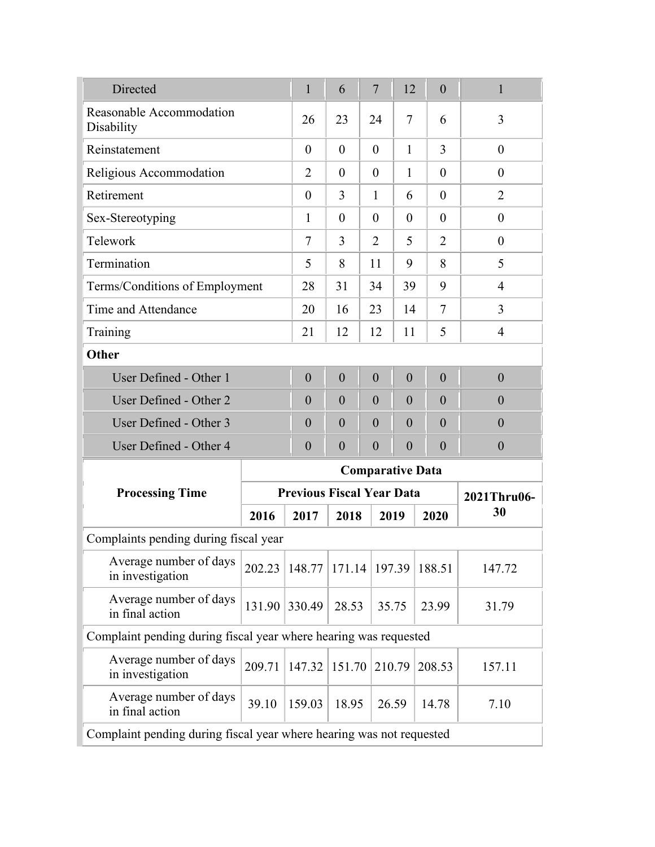| Directed                                                             |        | $\mathbf{1}$                     | 6                | $\overline{7}$          | 12             | $\boldsymbol{0}$ | $\mathbf{1}$     |
|----------------------------------------------------------------------|--------|----------------------------------|------------------|-------------------------|----------------|------------------|------------------|
| Reasonable Accommodation<br>Disability                               |        | 26                               | 23               | 24                      | $\overline{7}$ | 6                | 3                |
| Reinstatement                                                        |        | $\overline{0}$                   | $\theta$         | $\theta$                | 1              | 3                | $\overline{0}$   |
| Religious Accommodation                                              |        | 2                                | $\overline{0}$   | $\theta$                | 1              | $\theta$         | $\theta$         |
| Retirement                                                           |        | $\theta$                         | 3                | $\mathbf{1}$            | 6              | $\theta$         | $\overline{2}$   |
| Sex-Stereotyping                                                     |        | 1                                | $\theta$         | $\theta$                | $\theta$       | $\theta$         | $\overline{0}$   |
| Telework                                                             |        | $\tau$                           | 3                | $\overline{2}$          | 5              | $\overline{2}$   | $\overline{0}$   |
| Termination                                                          |        | 5                                | 8                | 11                      | 9              | 8                | 5                |
| Terms/Conditions of Employment                                       |        | 28                               | 31               | 34                      | 39             | 9                | $\overline{4}$   |
| Time and Attendance                                                  |        | 20                               | 16               | 23                      | 14             | 7                | 3                |
| Training                                                             |        | 21                               | 12               | 12                      | 11             | 5                | $\overline{4}$   |
| Other                                                                |        |                                  |                  |                         |                |                  |                  |
| User Defined - Other 1                                               |        | $\overline{0}$                   | $\overline{0}$   | $\theta$                | $\overline{0}$ | $\overline{0}$   | $\overline{0}$   |
| User Defined - Other 2                                               |        | $\overline{0}$                   | $\overline{0}$   | $\theta$                | $\overline{0}$ | $\theta$         | $\overline{0}$   |
| User Defined - Other 3                                               |        | $\theta$                         | $\overline{0}$   | $\theta$                | $\overline{0}$ | $\overline{0}$   | $\overline{0}$   |
| User Defined - Other 4                                               |        | $\overline{0}$                   | $\boldsymbol{0}$ | $\overline{0}$          | $\overline{0}$ | $\overline{0}$   | $\boldsymbol{0}$ |
|                                                                      |        |                                  |                  | <b>Comparative Data</b> |                |                  |                  |
| <b>Processing Time</b>                                               |        | <b>Previous Fiscal Year Data</b> |                  |                         |                |                  | 2021Thru06-      |
|                                                                      | 2016   | 2017                             | 2018             |                         | 2019           | 2020             | 30               |
| Complaints pending during fiscal year                                |        |                                  |                  |                         |                |                  |                  |
| Average number of days<br>in investigation                           | 202.23 | 148.77                           | 171.14           |                         | 197.39         | 188.51           | 147.72           |
| Average number of days<br>in final action                            | 131.90 | 330.49                           | 28.53            |                         | 35.75          | 23.99            | 31.79            |
| Complaint pending during fiscal year where hearing was requested     |        |                                  |                  |                         |                |                  |                  |
| Average number of days<br>in investigation                           | 209.71 | 147.32                           | 151.70           |                         | 210.79         | 208.53           | 157.11           |
| Average number of days<br>in final action                            | 39.10  | 159.03                           | 18.95            |                         | 26.59          | 14.78            | 7.10             |
| Complaint pending during fiscal year where hearing was not requested |        |                                  |                  |                         |                |                  |                  |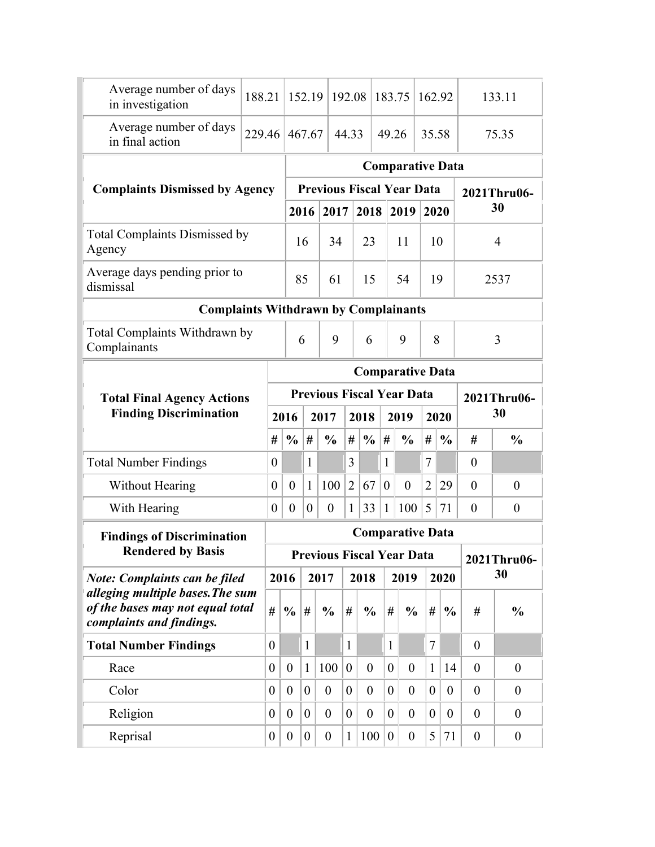| Average number of days<br>in investigation                         | 188.21           |                  | 152.19           |                                  | 192.08         |                | 183.75           |                         | 162.92         |                  |                   | 133.11            |  |
|--------------------------------------------------------------------|------------------|------------------|------------------|----------------------------------|----------------|----------------|------------------|-------------------------|----------------|------------------|-------------------|-------------------|--|
| Average number of days<br>in final action                          | 229.46           |                  | 467.67           |                                  | 44.33          |                | 49.26            |                         | 35.58          |                  |                   | 75.35             |  |
|                                                                    |                  |                  |                  |                                  |                |                |                  | <b>Comparative Data</b> |                |                  |                   |                   |  |
| <b>Complaints Dismissed by Agency</b>                              |                  |                  |                  | <b>Previous Fiscal Year Data</b> |                |                |                  |                         |                |                  |                   | 2021Thru06-       |  |
|                                                                    |                  |                  | 2016             | 2017                             |                | 2018           |                  | 2019                    | 2020           |                  |                   | 30                |  |
| <b>Total Complaints Dismissed by</b><br>Agency                     |                  |                  | 16               | 34                               |                | 23             |                  | 11                      | 10             |                  |                   | $\overline{4}$    |  |
| Average days pending prior to<br>dismissal                         |                  |                  | 85               | 61                               |                | 15             |                  | 54                      | 19             |                  |                   | 2537              |  |
| <b>Complaints Withdrawn by Complainants</b>                        |                  |                  |                  |                                  |                |                |                  |                         |                |                  |                   |                   |  |
| Total Complaints Withdrawn by<br>Complainants                      |                  |                  | 6                | 9                                |                | 6              |                  | 9                       | 8              |                  |                   | 3                 |  |
|                                                                    |                  |                  |                  |                                  |                |                |                  |                         |                |                  |                   |                   |  |
| <b>Comparative Data</b><br><b>Previous Fiscal Year Data</b>        |                  |                  |                  |                                  |                |                |                  |                         |                |                  |                   |                   |  |
|                                                                    |                  |                  |                  |                                  |                |                |                  |                         |                |                  |                   |                   |  |
| <b>Total Final Agency Actions</b><br><b>Finding Discrimination</b> |                  | 2016             |                  | 2017                             |                | 2018           |                  | 2019                    |                | 2020             | 2021Thru06-<br>30 |                   |  |
|                                                                    | #                | $\frac{0}{0}$    | #                | $\frac{0}{0}$                    | #              | $\frac{0}{0}$  | #                | $\frac{0}{0}$           | #              | $\frac{0}{0}$    | #                 | $\frac{0}{0}$     |  |
| <b>Total Number Findings</b>                                       | $\theta$         |                  | $\mathbf{1}$     |                                  | 3              |                | $\mathbf{1}$     |                         | 7              |                  | $\theta$          |                   |  |
| <b>Without Hearing</b>                                             | $\theta$         | $\overline{0}$   | $\mathbf{1}$     | 100                              | $\overline{2}$ | 67             | $\overline{0}$   | $\overline{0}$          | $\overline{2}$ | 29               | $\boldsymbol{0}$  | $\boldsymbol{0}$  |  |
| With Hearing                                                       | $\boldsymbol{0}$ | $\boldsymbol{0}$ | $\boldsymbol{0}$ | $\boldsymbol{0}$                 | $\mathbf{1}$   | 33             | $\mathbf{1}$     | 100                     | 5              | 71               | $\theta$          | $\boldsymbol{0}$  |  |
|                                                                    |                  |                  |                  |                                  |                |                |                  | <b>Comparative Data</b> |                |                  |                   |                   |  |
| <b>Findings of Discrimination</b><br><b>Rendered by Basis</b>      |                  |                  |                  | <b>Previous Fiscal Year Data</b> |                |                |                  |                         |                |                  |                   |                   |  |
| <b>Note: Complaints can be filed</b>                               |                  | 2016             |                  | 2017                             |                | 2018           |                  | 2019                    |                | 2020             |                   | 2021Thru06-<br>30 |  |
| alleging multiple bases. The sum                                   |                  |                  |                  |                                  |                |                |                  |                         |                |                  |                   |                   |  |
| of the bases may not equal total<br>complaints and findings.       | #                | $\frac{6}{6}$    | #                | $\frac{0}{0}$                    | #              | $\frac{0}{0}$  | #                | $\frac{0}{0}$           | #              | $\frac{0}{0}$    | #                 | $\frac{0}{0}$     |  |
| <b>Total Number Findings</b>                                       | $\overline{0}$   |                  | $\mathbf{1}$     |                                  | $\mathbf{1}$   |                | $\mathbf{1}$     |                         | $\overline{7}$ |                  | $\overline{0}$    |                   |  |
| Race                                                               | $\overline{0}$   | $\boldsymbol{0}$ | $\mathbf{1}$     | 100                              | $\theta$       | $\overline{0}$ | $\overline{0}$   | $\boldsymbol{0}$        | $\mathbf{1}$   | 14               | $\theta$          | $\boldsymbol{0}$  |  |
| Color                                                              | $\overline{0}$   | $\overline{0}$   | $\overline{0}$   | $\overline{0}$                   | $\overline{0}$ | $\theta$       | $\overline{0}$   | $\overline{0}$          | $\overline{0}$ | $\overline{0}$   | $\overline{0}$    | $\theta$          |  |
| Religion                                                           | $\overline{0}$   | $\boldsymbol{0}$ | $\overline{0}$   | $\boldsymbol{0}$                 | $\overline{0}$ | $\theta$       | $\boldsymbol{0}$ | $\boldsymbol{0}$        | $\overline{0}$ | $\boldsymbol{0}$ | $\overline{0}$    | $\theta$          |  |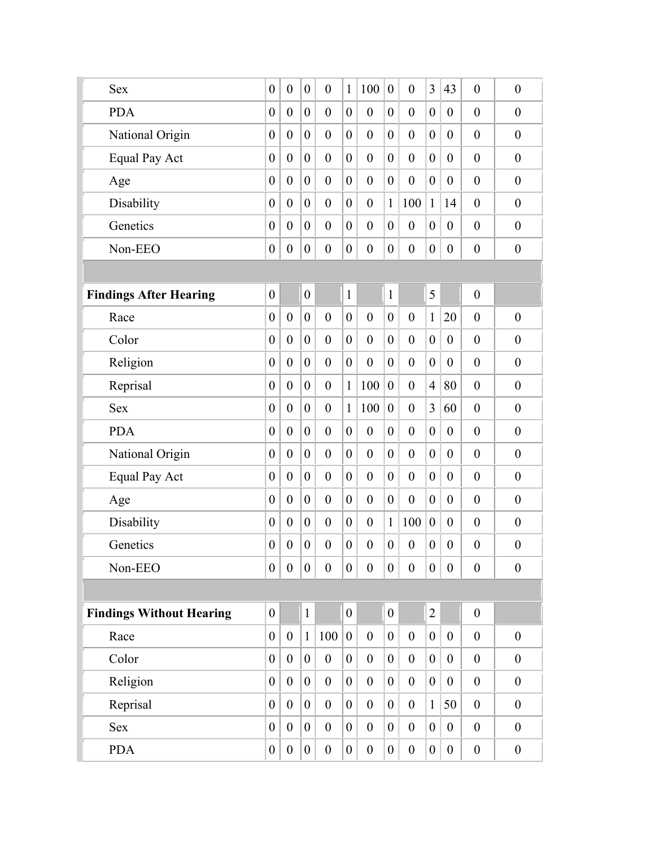| <b>Sex</b>                      | $\boldsymbol{0}$ | $\boldsymbol{0}$ | $\boldsymbol{0}$ | $\boldsymbol{0}$ | $\mathbf{1}$     | 100              | $\boldsymbol{0}$ | $\boldsymbol{0}$ | 3                | 43               | $\boldsymbol{0}$ | $\boldsymbol{0}$ |
|---------------------------------|------------------|------------------|------------------|------------------|------------------|------------------|------------------|------------------|------------------|------------------|------------------|------------------|
| <b>PDA</b>                      | $\boldsymbol{0}$ | $\boldsymbol{0}$ | $\boldsymbol{0}$ | $\boldsymbol{0}$ | $\boldsymbol{0}$ | $\overline{0}$   | $\boldsymbol{0}$ | $\boldsymbol{0}$ | $\overline{0}$   | $\boldsymbol{0}$ | $\overline{0}$   | $\boldsymbol{0}$ |
| National Origin                 | $\boldsymbol{0}$ | $\boldsymbol{0}$ | $\overline{0}$   | $\boldsymbol{0}$ | $\theta$         | $\overline{0}$   | $\boldsymbol{0}$ | $\boldsymbol{0}$ | $\overline{0}$   | $\boldsymbol{0}$ | $\boldsymbol{0}$ | $\overline{0}$   |
| Equal Pay Act                   | $\overline{0}$   | $\boldsymbol{0}$ | $\overline{0}$   | $\boldsymbol{0}$ | $\overline{0}$   | $\overline{0}$   | $\boldsymbol{0}$ | $\boldsymbol{0}$ | $\overline{0}$   | $\boldsymbol{0}$ | $\boldsymbol{0}$ | $\boldsymbol{0}$ |
| Age                             | $\boldsymbol{0}$ | $\boldsymbol{0}$ | $\theta$         | $\boldsymbol{0}$ | $\boldsymbol{0}$ | $\overline{0}$   | $\boldsymbol{0}$ | $\overline{0}$   | $\overline{0}$   | $\boldsymbol{0}$ | $\boldsymbol{0}$ | $\overline{0}$   |
| Disability                      | $\boldsymbol{0}$ | $\boldsymbol{0}$ | $\theta$         | $\boldsymbol{0}$ | $\overline{0}$   | $\overline{0}$   | $\mathbf{1}$     | 100              | $\mathbf{1}$     | 14               | $\boldsymbol{0}$ | $\boldsymbol{0}$ |
| Genetics                        | $\boldsymbol{0}$ | $\boldsymbol{0}$ | $\boldsymbol{0}$ | $\boldsymbol{0}$ | $\overline{0}$   | $\overline{0}$   | $\boldsymbol{0}$ | $\boldsymbol{0}$ | $\overline{0}$   | $\boldsymbol{0}$ | $\boldsymbol{0}$ | $\overline{0}$   |
| Non-EEO                         | $\boldsymbol{0}$ | $\overline{0}$   | $\boldsymbol{0}$ | $\boldsymbol{0}$ | $\boldsymbol{0}$ | $\boldsymbol{0}$ | $\boldsymbol{0}$ | $\boldsymbol{0}$ | $\boldsymbol{0}$ | $\boldsymbol{0}$ | $\boldsymbol{0}$ | $\boldsymbol{0}$ |
|                                 |                  |                  |                  |                  |                  |                  |                  |                  |                  |                  |                  |                  |
| <b>Findings After Hearing</b>   | $\boldsymbol{0}$ |                  | $\boldsymbol{0}$ |                  | $\mathbf{1}$     |                  | $\mathbf{1}$     |                  | 5                |                  | $\boldsymbol{0}$ |                  |
| Race                            | $\boldsymbol{0}$ | $\boldsymbol{0}$ | $\boldsymbol{0}$ | $\boldsymbol{0}$ | $\boldsymbol{0}$ | $\overline{0}$   | $\boldsymbol{0}$ | $\boldsymbol{0}$ | $\mathbf{1}$     | 20               | $\overline{0}$   | $\boldsymbol{0}$ |
| Color                           | $\boldsymbol{0}$ | $\boldsymbol{0}$ | $\overline{0}$   | $\boldsymbol{0}$ | $\theta$         | $\overline{0}$   | $\boldsymbol{0}$ | $\boldsymbol{0}$ | $\overline{0}$   | $\boldsymbol{0}$ | $\boldsymbol{0}$ | $\overline{0}$   |
| Religion                        | $\theta$         | $\boldsymbol{0}$ | $\overline{0}$   | $\boldsymbol{0}$ | $\boldsymbol{0}$ | $\overline{0}$   | $\boldsymbol{0}$ | $\boldsymbol{0}$ | $\overline{0}$   | $\boldsymbol{0}$ | $\boldsymbol{0}$ | $\boldsymbol{0}$ |
| Reprisal                        | $\boldsymbol{0}$ | $\boldsymbol{0}$ | $\overline{0}$   | $\boldsymbol{0}$ | $\mathbf{1}$     | 100              | $\boldsymbol{0}$ | $\boldsymbol{0}$ | $\overline{4}$   | 80               | $\boldsymbol{0}$ | $\overline{0}$   |
| <b>Sex</b>                      | $\boldsymbol{0}$ | $\boldsymbol{0}$ | $\mathbf{0}$     | $\boldsymbol{0}$ | 1                | 100              | $\boldsymbol{0}$ | $\overline{0}$   | $\overline{3}$   | 60               | $\boldsymbol{0}$ | $\boldsymbol{0}$ |
| <b>PDA</b>                      | $\boldsymbol{0}$ | $\boldsymbol{0}$ | $\theta$         | $\boldsymbol{0}$ | $\overline{0}$   | $\overline{0}$   | $\boldsymbol{0}$ | $\boldsymbol{0}$ | $\overline{0}$   | $\boldsymbol{0}$ | $\boldsymbol{0}$ | $\overline{0}$   |
| National Origin                 | $\theta$         | $\boldsymbol{0}$ | $\theta$         | $\boldsymbol{0}$ | $\overline{0}$   | $\overline{0}$   | $\boldsymbol{0}$ | $\boldsymbol{0}$ | $\overline{0}$   | $\boldsymbol{0}$ | $\boldsymbol{0}$ | $\overline{0}$   |
| <b>Equal Pay Act</b>            | $\boldsymbol{0}$ | $\boldsymbol{0}$ | $\boldsymbol{0}$ | $\boldsymbol{0}$ | $\boldsymbol{0}$ | $\overline{0}$   | $\boldsymbol{0}$ | $\boldsymbol{0}$ | $\boldsymbol{0}$ | $\boldsymbol{0}$ | $\boldsymbol{0}$ | $\overline{0}$   |
| Age                             | $\boldsymbol{0}$ | $\boldsymbol{0}$ | $\overline{0}$   | $\boldsymbol{0}$ | $\boldsymbol{0}$ | $\overline{0}$   | $\boldsymbol{0}$ | $\boldsymbol{0}$ | $\theta$         | $\boldsymbol{0}$ | $\boldsymbol{0}$ | $\boldsymbol{0}$ |
| Disability                      | $\boldsymbol{0}$ | $\boldsymbol{0}$ | $\boldsymbol{0}$ | $\boldsymbol{0}$ | $\boldsymbol{0}$ | $\boldsymbol{0}$ | $\mathbf{1}$     | 100              | $\boldsymbol{0}$ | $\boldsymbol{0}$ | $\boldsymbol{0}$ | $\boldsymbol{0}$ |
| Genetics                        | $\boldsymbol{0}$ | $\boldsymbol{0}$ | $\boldsymbol{0}$ | $\boldsymbol{0}$ | $\boldsymbol{0}$ | $\boldsymbol{0}$ | $\boldsymbol{0}$ | $\boldsymbol{0}$ | $\boldsymbol{0}$ | $\boldsymbol{0}$ | $\boldsymbol{0}$ | $\boldsymbol{0}$ |
| Non-EEO                         | $\boldsymbol{0}$ | $\boldsymbol{0}$ | $\boldsymbol{0}$ | $\boldsymbol{0}$ | $\overline{0}$   | $\boldsymbol{0}$ | $\boldsymbol{0}$ | $\boldsymbol{0}$ | $\overline{0}$   | $\boldsymbol{0}$ | $\boldsymbol{0}$ | $\boldsymbol{0}$ |
|                                 |                  |                  |                  |                  |                  |                  |                  |                  |                  |                  |                  |                  |
| <b>Findings Without Hearing</b> | $\boldsymbol{0}$ |                  | $\mathbf{1}$     |                  | $\boldsymbol{0}$ |                  | $\boldsymbol{0}$ |                  | $\overline{2}$   |                  | $\boldsymbol{0}$ |                  |
| Race                            | $\boldsymbol{0}$ | $\boldsymbol{0}$ | $\mathbf{1}$     | 100              | $\boldsymbol{0}$ | $\boldsymbol{0}$ | $\boldsymbol{0}$ | $\overline{0}$   | $\overline{0}$   | $\boldsymbol{0}$ | $\boldsymbol{0}$ | $\boldsymbol{0}$ |
| Color                           | $\boldsymbol{0}$ | $\boldsymbol{0}$ | $\overline{0}$   | $\boldsymbol{0}$ | $\overline{0}$   | $\boldsymbol{0}$ | $\boldsymbol{0}$ | $\boldsymbol{0}$ | $\overline{0}$   | $\boldsymbol{0}$ | $\boldsymbol{0}$ | $\boldsymbol{0}$ |
| Religion                        | $\boldsymbol{0}$ | $\boldsymbol{0}$ | $\overline{0}$   | $\boldsymbol{0}$ | $\overline{0}$   | $\boldsymbol{0}$ | $\boldsymbol{0}$ | $\overline{0}$   | $\boldsymbol{0}$ | $\boldsymbol{0}$ | $\boldsymbol{0}$ | $\mathbf{0}$     |
| Reprisal                        | $\theta$         | $\boldsymbol{0}$ | $\mathbf{0}$     | $\boldsymbol{0}$ | $\overline{0}$   | $\boldsymbol{0}$ | $\boldsymbol{0}$ | $\boldsymbol{0}$ | $\mathbf{1}$     | 50               | $\boldsymbol{0}$ | $\boldsymbol{0}$ |
| <b>Sex</b>                      | $\boldsymbol{0}$ | $\boldsymbol{0}$ | $\boldsymbol{0}$ | $\boldsymbol{0}$ | $\boldsymbol{0}$ | $\boldsymbol{0}$ | $\boldsymbol{0}$ | $\boldsymbol{0}$ | $\boldsymbol{0}$ | $\boldsymbol{0}$ | $\boldsymbol{0}$ | $\boldsymbol{0}$ |
| <b>PDA</b>                      | $\boldsymbol{0}$ | $\boldsymbol{0}$ | $\boldsymbol{0}$ | $\boldsymbol{0}$ | $\boldsymbol{0}$ | $\boldsymbol{0}$ | $\boldsymbol{0}$ | $\boldsymbol{0}$ | $\boldsymbol{0}$ | $\boldsymbol{0}$ | $\boldsymbol{0}$ | $\boldsymbol{0}$ |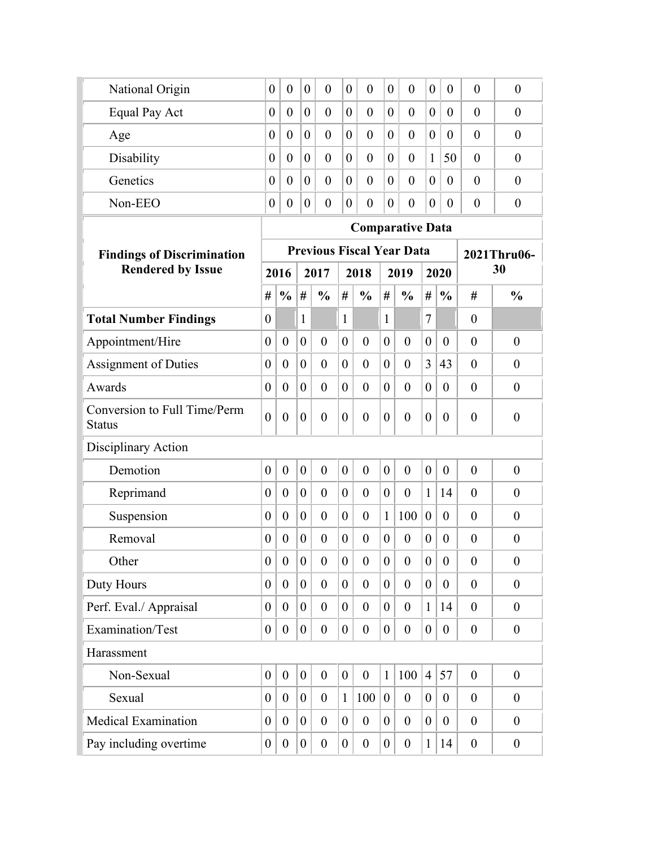| National Origin                               | $\theta$         | $\boldsymbol{0}$ | $\overline{0}$   | $\overline{0}$   | $\overline{0}$   | $\overline{0}$                   | $\boldsymbol{0}$ | $\overline{0}$   | $\theta$         | $\boldsymbol{0}$ | $\theta$         | $\boldsymbol{0}$ |
|-----------------------------------------------|------------------|------------------|------------------|------------------|------------------|----------------------------------|------------------|------------------|------------------|------------------|------------------|------------------|
| Equal Pay Act                                 | $\theta$         | $\overline{0}$   | $\overline{0}$   | $\overline{0}$   | $\overline{0}$   | $\theta$                         | $\overline{0}$   | $\theta$         | $\theta$         | $\overline{0}$   | $\overline{0}$   | $\overline{0}$   |
| Age                                           | $\theta$         | $\theta$         | $\theta$         | $\theta$         | $\theta$         | $\theta$                         | $\overline{0}$   | $\theta$         | $\theta$         | $\overline{0}$   | $\theta$         | $\overline{0}$   |
| Disability                                    | $\theta$         | $\overline{0}$   | $\overline{0}$   | $\overline{0}$   | $\theta$         | $\theta$                         | $\overline{0}$   | $\theta$         | 1                | 50               | $\overline{0}$   | $\overline{0}$   |
| Genetics                                      | $\theta$         | $\boldsymbol{0}$ | $\overline{0}$   | $\overline{0}$   | $\theta$         | $\theta$                         | $\boldsymbol{0}$ | $\theta$         | $\theta$         | $\overline{0}$   | $\overline{0}$   | $\overline{0}$   |
| Non-EEO                                       | $\boldsymbol{0}$ | $\boldsymbol{0}$ | $\boldsymbol{0}$ | $\boldsymbol{0}$ | $\boldsymbol{0}$ | $\boldsymbol{0}$                 | $\boldsymbol{0}$ | $\boldsymbol{0}$ | $\theta$         | $\boldsymbol{0}$ | $\boldsymbol{0}$ | $\boldsymbol{0}$ |
|                                               |                  |                  |                  |                  |                  | <b>Comparative Data</b>          |                  |                  |                  |                  |                  |                  |
| <b>Findings of Discrimination</b>             |                  |                  |                  |                  |                  | <b>Previous Fiscal Year Data</b> |                  |                  |                  |                  |                  | 2021Thru06-      |
| <b>Rendered by Issue</b>                      |                  | 2016             |                  | 2017             |                  | 2018                             |                  | 2019             |                  | 2020             |                  | 30               |
|                                               | #                | $\frac{0}{0}$    | #                | $\frac{0}{0}$    | #                | $\frac{0}{0}$                    | #                | $\frac{0}{0}$    | #                | $\frac{0}{0}$    | #                | $\frac{0}{0}$    |
| <b>Total Number Findings</b>                  | $\boldsymbol{0}$ |                  | 1                |                  | $\mathbf{1}$     |                                  | $\mathbf{1}$     |                  | $\overline{7}$   |                  | $\boldsymbol{0}$ |                  |
| Appointment/Hire                              | $\boldsymbol{0}$ | $\boldsymbol{0}$ | $\overline{0}$   | $\theta$         | $\overline{0}$   | $\theta$                         | $\overline{0}$   | $\overline{0}$   | $\overline{0}$   | $\theta$         | $\theta$         | $\overline{0}$   |
| <b>Assignment of Duties</b>                   | $\theta$         | $\overline{0}$   | $\overline{0}$   | $\theta$         | $\overline{0}$   | $\theta$                         | $\overline{0}$   | $\theta$         | 3                | 43               | $\theta$         | $\theta$         |
| Awards                                        | $\boldsymbol{0}$ | $\theta$         | $\boldsymbol{0}$ | $\overline{0}$   | $\overline{0}$   | $\theta$                         | $\overline{0}$   | $\overline{0}$   | $\boldsymbol{0}$ | $\overline{0}$   | $\theta$         | $\overline{0}$   |
| Conversion to Full Time/Perm<br><b>Status</b> | $\overline{0}$   | $\boldsymbol{0}$ | $\boldsymbol{0}$ | $\overline{0}$   | $\overline{0}$   | $\boldsymbol{0}$                 | $\overline{0}$   | $\theta$         | $\overline{0}$   | $\theta$         | $\boldsymbol{0}$ | $\theta$         |
| Disciplinary Action                           |                  |                  |                  |                  |                  |                                  |                  |                  |                  |                  |                  |                  |
| Demotion                                      | $\boldsymbol{0}$ | $\boldsymbol{0}$ | $\boldsymbol{0}$ | $\overline{0}$   | $\overline{0}$   | $\theta$                         | $\overline{0}$   | $\overline{0}$   | $\boldsymbol{0}$ | $\theta$         | $\overline{0}$   | $\overline{0}$   |
| Reprimand                                     | $\theta$         | $\theta$         | $\boldsymbol{0}$ | $\theta$         | $\overline{0}$   | $\theta$                         | $\boldsymbol{0}$ | $\theta$         | $\mathbf{1}$     | 14               | $\theta$         | $\overline{0}$   |
| Suspension                                    | $\boldsymbol{0}$ | $\boldsymbol{0}$ | $\boldsymbol{0}$ | $\boldsymbol{0}$ | $\overline{0}$   | $\boldsymbol{0}$                 | $\mathbf{1}$     | 100              | $\boldsymbol{0}$ | $\overline{0}$   | $\theta$         | $\overline{0}$   |
| Removal                                       | $\boldsymbol{0}$ | $\boldsymbol{0}$ | $\boldsymbol{0}$ | $\boldsymbol{0}$ | $\theta$         | $\boldsymbol{0}$                 | $\boldsymbol{0}$ | $\boldsymbol{0}$ | $\boldsymbol{0}$ | $\boldsymbol{0}$ | $\boldsymbol{0}$ | $\overline{0}$   |
| Other                                         | $\boldsymbol{0}$ | $\boldsymbol{0}$ | $\boldsymbol{0}$ | $\boldsymbol{0}$ | $\boldsymbol{0}$ | $\boldsymbol{0}$                 | $\boldsymbol{0}$ | $\overline{0}$   | $\boldsymbol{0}$ | $\boldsymbol{0}$ | $\boldsymbol{0}$ | $\boldsymbol{0}$ |
| Duty Hours                                    | $\boldsymbol{0}$ | $\theta$         | $\overline{0}$   | $\theta$         | $\overline{0}$   | $\theta$                         | $\overline{0}$   | $\overline{0}$   | $\overline{0}$   | $\theta$         | $\boldsymbol{0}$ | $\overline{0}$   |
| Perf. Eval./ Appraisal                        | $\boldsymbol{0}$ | $\overline{0}$   | $\overline{0}$   | $\theta$         | $\overline{0}$   | $\overline{0}$                   | $\overline{0}$   | $\theta$         | 1                | 14               | $\theta$         | $\theta$         |
| Examination/Test                              | $\boldsymbol{0}$ | $\boldsymbol{0}$ | $\boldsymbol{0}$ | $\theta$         | $\overline{0}$   | $\boldsymbol{0}$                 | $\overline{0}$   | $\theta$         | $\boldsymbol{0}$ | $\overline{0}$   | $\boldsymbol{0}$ | $\theta$         |
| Harassment                                    |                  |                  |                  |                  |                  |                                  |                  |                  |                  |                  |                  |                  |
| Non-Sexual                                    | $\boldsymbol{0}$ | $\boldsymbol{0}$ | $\boldsymbol{0}$ | $\boldsymbol{0}$ | $\overline{0}$   | $\boldsymbol{0}$                 | $\mathbf{1}$     | 100              | $\vert 4 \vert$  | 57               | $\boldsymbol{0}$ | $\boldsymbol{0}$ |
| Sexual                                        | $\boldsymbol{0}$ | $\theta$         | $\boldsymbol{0}$ | $\theta$         | $\mathbf{1}$     | 100                              | $\boldsymbol{0}$ | $\boldsymbol{0}$ | $\boldsymbol{0}$ | $\overline{0}$   | $\theta$         | $\boldsymbol{0}$ |
| <b>Medical Examination</b>                    | $\boldsymbol{0}$ | $\theta$         | $\boldsymbol{0}$ | $\overline{0}$   | $\overline{0}$   | $\boldsymbol{0}$                 | $\boldsymbol{0}$ | $\overline{0}$   | $\boldsymbol{0}$ | $\overline{0}$   | $\theta$         | $\overline{0}$   |
| Pay including overtime                        | $\boldsymbol{0}$ | $\boldsymbol{0}$ | $\boldsymbol{0}$ | $\boldsymbol{0}$ | $\overline{0}$   | $\boldsymbol{0}$                 | $\boldsymbol{0}$ | $\boldsymbol{0}$ | $\mathbf{1}$     | 14               | $\boldsymbol{0}$ | $\boldsymbol{0}$ |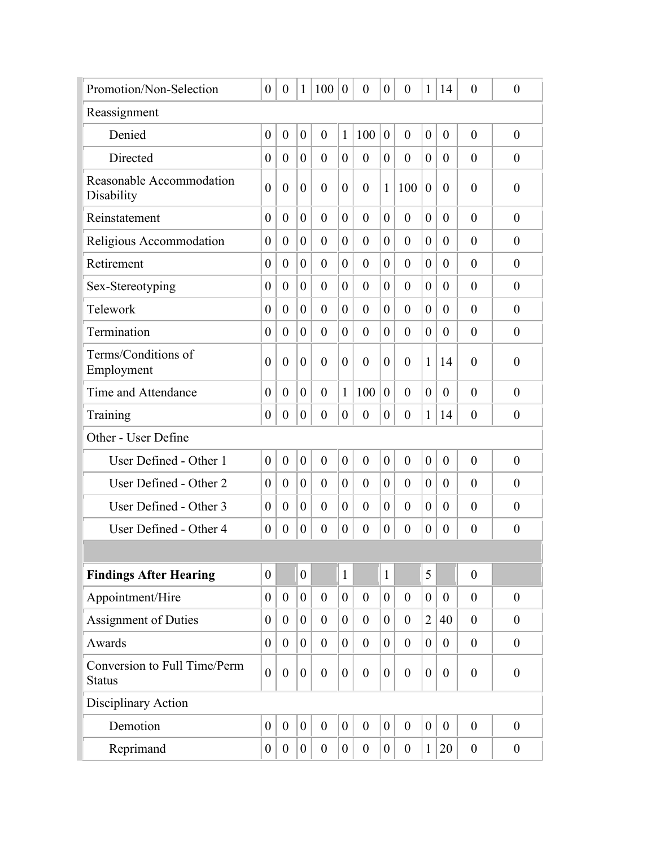| Promotion/Non-Selection                       | $\boldsymbol{0}$ | $\boldsymbol{0}$ | $\mathbf{1}$     | 100              | $\overline{0}$   | $\theta$         | $\theta$         | $\theta$         | $\mathbf{1}$     | 14               | $\overline{0}$   | $\theta$         |
|-----------------------------------------------|------------------|------------------|------------------|------------------|------------------|------------------|------------------|------------------|------------------|------------------|------------------|------------------|
| Reassignment                                  |                  |                  |                  |                  |                  |                  |                  |                  |                  |                  |                  |                  |
| Denied                                        | $\boldsymbol{0}$ | $\boldsymbol{0}$ | $\overline{0}$   | $\overline{0}$   | $\mathbf{1}$     | 100              | $\theta$         | $\theta$         | $\overline{0}$   | $\overline{0}$   | $\overline{0}$   | $\overline{0}$   |
| Directed                                      | $\theta$         | $\boldsymbol{0}$ | $\boldsymbol{0}$ | $\theta$         | $\overline{0}$   | $\overline{0}$   | $\overline{0}$   | $\theta$         | $\boldsymbol{0}$ | $\theta$         | $\theta$         | $\theta$         |
| Reasonable Accommodation<br>Disability        | $\overline{0}$   | $\overline{0}$   | $\overline{0}$   | $\theta$         | $\theta$         | $\theta$         | 1                | 100              | $\overline{0}$   | $\theta$         | $\theta$         | $\theta$         |
| Reinstatement                                 | $\boldsymbol{0}$ | $\overline{0}$   | $\overline{0}$   | $\overline{0}$   | $\overline{0}$   | $\theta$         | $\overline{0}$   | $\overline{0}$   | $\overline{0}$   | $\overline{0}$   | $\overline{0}$   | $\overline{0}$   |
| Religious Accommodation                       | $\boldsymbol{0}$ | $\theta$         | $\overline{0}$   | $\theta$         | $\overline{0}$   | $\theta$         | $\theta$         | $\theta$         | $\overline{0}$   | $\theta$         | $\theta$         | $\theta$         |
| Retirement                                    | $\theta$         | $\theta$         | $\theta$         | $\theta$         | 0                | $\theta$         | $\theta$         | $\theta$         | $\overline{0}$   | $\theta$         | $\theta$         | $\theta$         |
| Sex-Stereotyping                              | $\overline{0}$   | $\overline{0}$   | $\boldsymbol{0}$ | $\theta$         | $\overline{0}$   | $\theta$         | $\theta$         | $\theta$         | $\overline{0}$   | $\theta$         | $\overline{0}$   | $\theta$         |
| Telework                                      | $\theta$         | $\theta$         | $\theta$         | $\theta$         | 0                | $\theta$         | $\overline{0}$   | $\theta$         | $\overline{0}$   | $\theta$         | $\overline{0}$   | $\theta$         |
| Termination                                   | $\overline{0}$   | $\theta$         | $\overline{0}$   | $\overline{0}$   | $\overline{0}$   | $\overline{0}$   | $\overline{0}$   | $\theta$         | $\overline{0}$   | $\theta$         | $\theta$         | $\overline{0}$   |
| Terms/Conditions of<br>Employment             | $\theta$         | $\overline{0}$   | $\theta$         | $\theta$         | 0                | $\overline{0}$   | $\theta$         | $\overline{0}$   | $\mathbf{1}$     | 14               | $\theta$         | $\theta$         |
| Time and Attendance                           | $\theta$         | $\theta$         | $\theta$         | $\theta$         | 1                | 100              | $\overline{0}$   | $\theta$         | $\overline{0}$   | $\theta$         | $\theta$         | $\theta$         |
| Training                                      | $\theta$         | $\theta$         | $\boldsymbol{0}$ | $\overline{0}$   | $\overline{0}$   | $\theta$         | $\overline{0}$   | $\theta$         | $\mathbf{1}$     | 14               | $\overline{0}$   | $\overline{0}$   |
| Other - User Define                           |                  |                  |                  |                  |                  |                  |                  |                  |                  |                  |                  |                  |
| User Defined - Other 1                        | $\overline{0}$   | $\theta$         | $\overline{0}$   | $\overline{0}$   | $\overline{0}$   | $\theta$         | $\theta$         | $\theta$         | $\overline{0}$   | $\theta$         | $\overline{0}$   | $\overline{0}$   |
| User Defined - Other 2                        | $\theta$         | $\theta$         | $\overline{0}$   | $\theta$         | $\theta$         | $\theta$         | $\theta$         | $\theta$         | $\overline{0}$   | $\theta$         | $\theta$         | $\theta$         |
| User Defined - Other 3                        | $\theta$         | $\theta$         | $\overline{0}$   | $\theta$         | $\theta$         | $\theta$         | $\theta$         | $\theta$         | $\theta$         | $\theta$         | $\theta$         | $\theta$         |
| User Defined - Other 4                        | $\boldsymbol{0}$ | $\boldsymbol{0}$ | $\boldsymbol{0}$ | $\boldsymbol{0}$ | 0                | $\theta$         | $\boldsymbol{0}$ | $\overline{0}$   | $\boldsymbol{0}$ | $\theta$         | $\theta$         | $\theta$         |
|                                               |                  |                  |                  |                  |                  |                  |                  |                  |                  |                  |                  |                  |
| <b>Findings After Hearing</b>                 | $\boldsymbol{0}$ |                  | $\boldsymbol{0}$ |                  | $\mathbf{1}$     |                  | $\mathbf{1}$     |                  | 5                |                  | $\overline{0}$   |                  |
| Appointment/Hire                              | $\boldsymbol{0}$ | $\boldsymbol{0}$ | $\boldsymbol{0}$ | $\overline{0}$   | $\overline{0}$   | $\theta$         | $\overline{0}$   | $\boldsymbol{0}$ | $\boldsymbol{0}$ | $\theta$         | $\theta$         | $\boldsymbol{0}$ |
| <b>Assignment of Duties</b>                   | $\boldsymbol{0}$ | $\boldsymbol{0}$ | $\boldsymbol{0}$ | $\overline{0}$   | $\overline{0}$   | $\theta$         | $\overline{0}$   | $\theta$         | $\overline{2}$   | 40               | $\boldsymbol{0}$ | $\overline{0}$   |
| Awards                                        | $\boldsymbol{0}$ | $\boldsymbol{0}$ | $\boldsymbol{0}$ | $\overline{0}$   | $\overline{0}$   | $\theta$         | $\overline{0}$   | $\theta$         | $\boldsymbol{0}$ | $\boldsymbol{0}$ | $\boldsymbol{0}$ | $\overline{0}$   |
| Conversion to Full Time/Perm<br><b>Status</b> | $\boldsymbol{0}$ | $\boldsymbol{0}$ | $\boldsymbol{0}$ | $\overline{0}$   | $\boldsymbol{0}$ | $\boldsymbol{0}$ | $\boldsymbol{0}$ | $\boldsymbol{0}$ | $\boldsymbol{0}$ | $\theta$         | $\boldsymbol{0}$ | $\boldsymbol{0}$ |
| Disciplinary Action                           |                  |                  |                  |                  |                  |                  |                  |                  |                  |                  |                  |                  |
| Demotion                                      | $\boldsymbol{0}$ | $\boldsymbol{0}$ | $\boldsymbol{0}$ | $\overline{0}$   | $\boldsymbol{0}$ | $\boldsymbol{0}$ | $\boldsymbol{0}$ | $\overline{0}$   | $\boldsymbol{0}$ | $\boldsymbol{0}$ | $\theta$         | $\boldsymbol{0}$ |
| Reprimand                                     | $\boldsymbol{0}$ | $\boldsymbol{0}$ | $\overline{0}$   | $\boldsymbol{0}$ | $\overline{0}$   | $\boldsymbol{0}$ | $\overline{0}$   | $\boldsymbol{0}$ | $\mathbf{1}$     | 20               | $\boldsymbol{0}$ | $\boldsymbol{0}$ |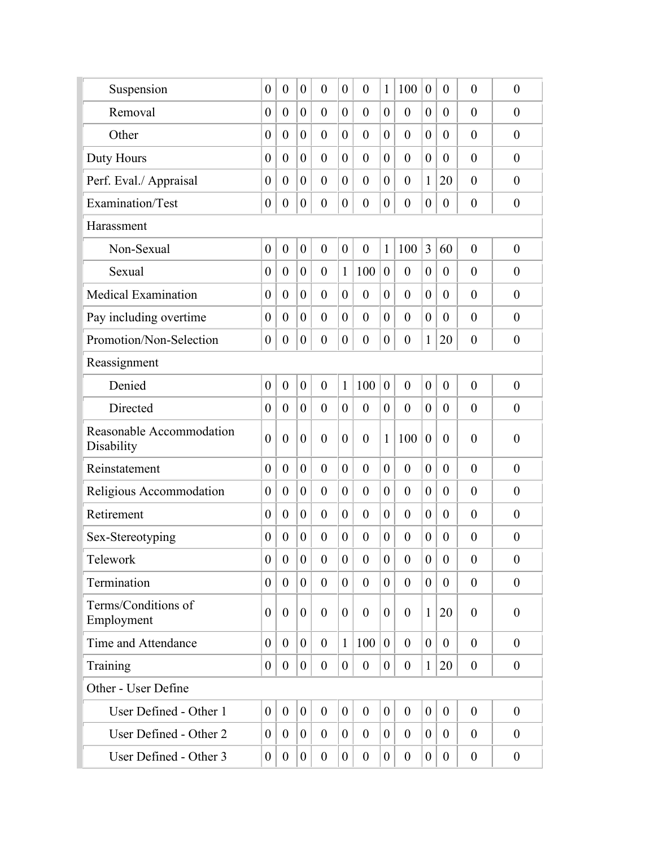| Suspension                             | $\boldsymbol{0}$ | $\boldsymbol{0}$ | $\boldsymbol{0}$ | $\overline{0}$   | $\theta$         | $\boldsymbol{0}$ | 1                | 100              | $\boldsymbol{0}$ | $\theta$       | $\overline{0}$   | $\boldsymbol{0}$ |
|----------------------------------------|------------------|------------------|------------------|------------------|------------------|------------------|------------------|------------------|------------------|----------------|------------------|------------------|
| Removal                                | $\boldsymbol{0}$ | $\overline{0}$   | $\boldsymbol{0}$ | $\overline{0}$   | $\overline{0}$   | $\theta$         | $\overline{0}$   | $\overline{0}$   | $\boldsymbol{0}$ | $\theta$       | $\overline{0}$   | $\theta$         |
| Other                                  | $\boldsymbol{0}$ | $\theta$         | $\overline{0}$   | $\theta$         | $\overline{0}$   | $\overline{0}$   | $\theta$         | $\theta$         | $\boldsymbol{0}$ | $\theta$       | $\overline{0}$   | $\theta$         |
| Duty Hours                             | $\overline{0}$   | $\overline{0}$   | $\overline{0}$   | $\overline{0}$   | $\theta$         | $\mathbf{0}$     | $\overline{0}$   | $\theta$         | $\overline{0}$   | $\overline{0}$ | $\overline{0}$   | $\theta$         |
| Perf. Eval./ Appraisal                 | $\boldsymbol{0}$ | $\theta$         | $\overline{0}$   | $\theta$         | $\theta$         | $\theta$         | $\theta$         | $\theta$         | 1                | 20             | $\overline{0}$   | $\theta$         |
| Examination/Test                       | $\boldsymbol{0}$ | $\boldsymbol{0}$ | $\boldsymbol{0}$ | $\boldsymbol{0}$ | $\overline{0}$   | $\boldsymbol{0}$ | $\boldsymbol{0}$ | $\boldsymbol{0}$ | $\boldsymbol{0}$ | $\overline{0}$ | $\boldsymbol{0}$ | $\boldsymbol{0}$ |
| Harassment                             |                  |                  |                  |                  |                  |                  |                  |                  |                  |                |                  |                  |
| Non-Sexual                             | $\boldsymbol{0}$ | $\boldsymbol{0}$ | $\boldsymbol{0}$ | $\mathbf{0}$     | $\overline{0}$   | $\mathbf{0}$     | 1                | 100              | 3                | 60             | $\overline{0}$   | $\overline{0}$   |
| Sexual                                 | $\boldsymbol{0}$ | $\overline{0}$   | $\boldsymbol{0}$ | $\theta$         | $\mathbf{1}$     | 100              | $\boldsymbol{0}$ | $\overline{0}$   | $\boldsymbol{0}$ | $\theta$       | $\overline{0}$   | $\overline{0}$   |
| <b>Medical Examination</b>             | $\boldsymbol{0}$ | $\overline{0}$   | $\overline{0}$   | $\theta$         | $\overline{0}$   | $\boldsymbol{0}$ | $\theta$         | $\overline{0}$   | $\overline{0}$   | $\overline{0}$ | $\overline{0}$   | $\theta$         |
| Pay including overtime                 | $\boldsymbol{0}$ | $\boldsymbol{0}$ | $\overline{0}$   | $\theta$         | $\theta$         | $\theta$         | $\overline{0}$   | $\overline{0}$   | $\overline{0}$   | $\theta$       | $\overline{0}$   | $\overline{0}$   |
| Promotion/Non-Selection                | $\boldsymbol{0}$ | $\boldsymbol{0}$ | $\boldsymbol{0}$ | $\overline{0}$   | $\overline{0}$   | $\boldsymbol{0}$ | $\boldsymbol{0}$ | $\overline{0}$   | $\mathbf{1}$     | 20             | $\boldsymbol{0}$ | $\overline{0}$   |
| Reassignment                           |                  |                  |                  |                  |                  |                  |                  |                  |                  |                |                  |                  |
| Denied                                 | $\boldsymbol{0}$ | $\boldsymbol{0}$ | $\boldsymbol{0}$ | $\theta$         | $\mathbf{1}$     | 100              | $\boldsymbol{0}$ | $\overline{0}$   | $\boldsymbol{0}$ | $\theta$       | $\overline{0}$   | $\overline{0}$   |
| Directed                               | $\overline{0}$   | $\overline{0}$   | $\mathbf{0}$     | $\theta$         | $\overline{0}$   | $\boldsymbol{0}$ | $\overline{0}$   | $\overline{0}$   | $\overline{0}$   | $\overline{0}$ | $\overline{0}$   | $\boldsymbol{0}$ |
| Reasonable Accommodation<br>Disability | $\overline{0}$   | $\overline{0}$   | $\overline{0}$   | $\overline{0}$   | $\theta$         | $\theta$         | $\mathbf{1}$     | 100              | $\overline{0}$   | $\theta$       | $\overline{0}$   | $\overline{0}$   |
| Reinstatement                          | $\overline{0}$   | $\theta$         | $\overline{0}$   | $\overline{0}$   | $\overline{0}$   | $\overline{0}$   | $\theta$         | $\overline{0}$   | $\boldsymbol{0}$ | $\overline{0}$ | $\overline{0}$   | $\overline{0}$   |
| Religious Accommodation                | $\overline{0}$   | $\overline{0}$   | $\overline{0}$   | $\theta$         | $\theta$         | $\theta$         | $\theta$         | $\theta$         | $\overline{0}$   | $\overline{0}$ | $\overline{0}$   | $\overline{0}$   |
| Retirement                             | $\boldsymbol{0}$ | $\theta$         | $\overline{0}$   | $\theta$         | $\theta$         | $\theta$         | $\theta$         | $\theta$         | $\overline{0}$   | $\theta$       | $\overline{0}$   | $\theta$         |
| Sex-Stereotyping                       | $\boldsymbol{0}$ | $\theta$         | $\boldsymbol{0}$ | $\overline{0}$   | $\overline{0}$   | $\boldsymbol{0}$ | $\boldsymbol{0}$ | $\overline{0}$   | $\boldsymbol{0}$ | $\theta$       | $\overline{0}$   | $\boldsymbol{0}$ |
| Telework                               | $\boldsymbol{0}$ | $\boldsymbol{0}$ | $\mathbf{0}$     | $\boldsymbol{0}$ | $\boldsymbol{0}$ | $\boldsymbol{0}$ | $\boldsymbol{0}$ | $\boldsymbol{0}$ | $\boldsymbol{0}$ | $\mathbf{0}$   | $\boldsymbol{0}$ | $\boldsymbol{0}$ |
| Termination                            |                  |                  |                  |                  |                  |                  |                  |                  |                  |                |                  |                  |
|                                        | $\overline{0}$   | $\overline{0}$   | $\overline{0}$   | $\theta$         | $\Omega$         | $\overline{0}$   | $\Omega$         | $\theta$         | $\theta$         | $\theta$       | $\mathbf{0}$     | $\overline{0}$   |
| Terms/Conditions of<br>Employment      | $\overline{0}$   | $\theta$         | $\overline{0}$   | $\theta$         | $\overline{0}$   | $\theta$         | $\overline{0}$   | $\theta$         | $\mathbf{1}$     | 20             | $\theta$         | $\overline{0}$   |
| Time and Attendance                    | $\overline{0}$   | $\theta$         | $\overline{0}$   | $\theta$         | $\mathbf{1}$     | 100              | $\overline{0}$   | $\theta$         | $\theta$         | $\theta$       | $\overline{0}$   | $\theta$         |
| Training                               | $\overline{0}$   | $\theta$         | $\overline{0}$   | $\overline{0}$   | $\overline{0}$   | $\theta$         | $\overline{0}$   | $\theta$         | $\mathbf{1}$     | 20             | $\theta$         | $\theta$         |
| Other - User Define                    |                  |                  |                  |                  |                  |                  |                  |                  |                  |                |                  |                  |
| User Defined - Other 1                 | $\overline{0}$   | $\theta$         | $\overline{0}$   | $\theta$         | $\overline{0}$   | $\theta$         | $\overline{0}$   | $\theta$         | $\overline{0}$   | $\theta$       | $\theta$         | $\overline{0}$   |
| User Defined - Other 2                 | $\theta$         | $\overline{0}$   | $\overline{0}$   | $\overline{0}$   | $\theta$         | $\overline{0}$   | $\overline{0}$   | $\overline{0}$   | $\theta$         | $\overline{0}$ | $\overline{0}$   | $\theta$         |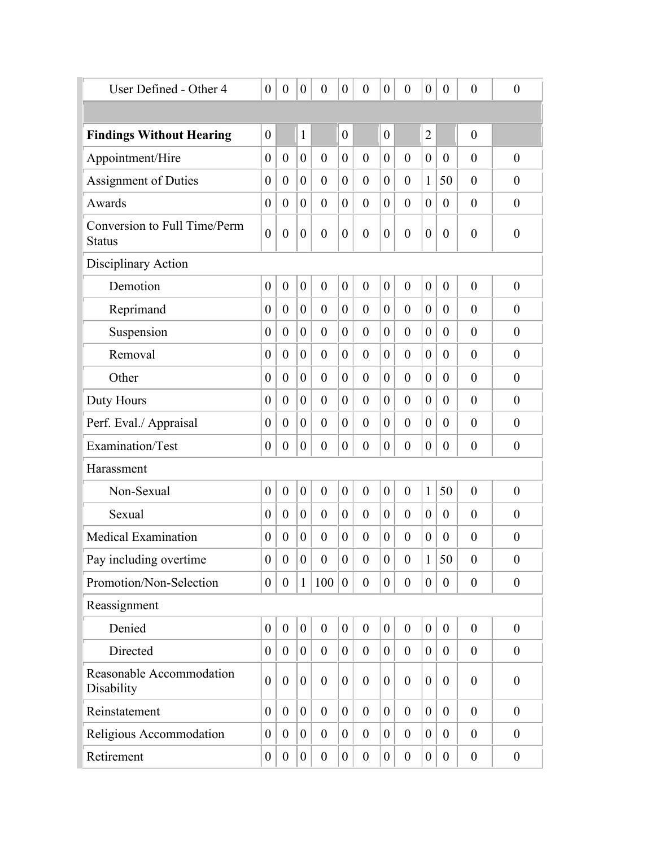| User Defined - Other 4                        | $\boldsymbol{0}$ | $\boldsymbol{0}$ | $\boldsymbol{0}$ | $\boldsymbol{0}$ | $\boldsymbol{0}$ | $\boldsymbol{0}$ | $\boldsymbol{0}$ | $\overline{0}$   | $\boldsymbol{0}$ | $\boldsymbol{0}$ | $\boldsymbol{0}$ | $\boldsymbol{0}$ |
|-----------------------------------------------|------------------|------------------|------------------|------------------|------------------|------------------|------------------|------------------|------------------|------------------|------------------|------------------|
|                                               |                  |                  |                  |                  |                  |                  |                  |                  |                  |                  |                  |                  |
| <b>Findings Without Hearing</b>               | $\boldsymbol{0}$ |                  | $\mathbf{1}$     |                  | $\boldsymbol{0}$ |                  | $\boldsymbol{0}$ |                  | $\overline{2}$   |                  | $\boldsymbol{0}$ |                  |
| Appointment/Hire                              | $\boldsymbol{0}$ | $\theta$         | $\boldsymbol{0}$ | $\theta$         | $\boldsymbol{0}$ | $\overline{0}$   | $\boldsymbol{0}$ | $\theta$         | $\boldsymbol{0}$ | $\theta$         | $\overline{0}$   | $\boldsymbol{0}$ |
| <b>Assignment of Duties</b>                   | $\boldsymbol{0}$ | $\boldsymbol{0}$ | $\boldsymbol{0}$ | $\theta$         | $\overline{0}$   | $\boldsymbol{0}$ | $\boldsymbol{0}$ | $\theta$         | 1                | 50               | $\overline{0}$   | $\boldsymbol{0}$ |
| Awards                                        | $\boldsymbol{0}$ | $\boldsymbol{0}$ | $\boldsymbol{0}$ | $\overline{0}$   | $\overline{0}$   | $\boldsymbol{0}$ | $\boldsymbol{0}$ | $\overline{0}$   | $\boldsymbol{0}$ | $\theta$         | $\overline{0}$   | $\boldsymbol{0}$ |
| Conversion to Full Time/Perm<br><b>Status</b> | $\boldsymbol{0}$ | $\boldsymbol{0}$ | $\boldsymbol{0}$ | $\boldsymbol{0}$ | $\boldsymbol{0}$ | $\boldsymbol{0}$ | $\boldsymbol{0}$ | $\boldsymbol{0}$ | $\boldsymbol{0}$ | $\theta$         | $\boldsymbol{0}$ | $\boldsymbol{0}$ |
| Disciplinary Action                           |                  |                  |                  |                  |                  |                  |                  |                  |                  |                  |                  |                  |
| Demotion                                      | $\boldsymbol{0}$ | $\boldsymbol{0}$ | $\boldsymbol{0}$ | $\boldsymbol{0}$ | $\boldsymbol{0}$ | $\overline{0}$   | $\boldsymbol{0}$ | $\overline{0}$   | $\boldsymbol{0}$ | $\boldsymbol{0}$ | $\overline{0}$   | $\boldsymbol{0}$ |
| Reprimand                                     | $\boldsymbol{0}$ | $\boldsymbol{0}$ | $\boldsymbol{0}$ | $\theta$         | $\overline{0}$   | $\boldsymbol{0}$ | $\boldsymbol{0}$ | $\theta$         | $\boldsymbol{0}$ | $\theta$         | $\overline{0}$   | $\overline{0}$   |
| Suspension                                    | $\boldsymbol{0}$ | $\overline{0}$   | $\boldsymbol{0}$ | $\overline{0}$   | $\overline{0}$   | $\boldsymbol{0}$ | $\overline{0}$   | $\overline{0}$   | $\boldsymbol{0}$ | $\theta$         | $\overline{0}$   | $\boldsymbol{0}$ |
| Removal                                       | $\boldsymbol{0}$ | $\theta$         | $\boldsymbol{0}$ | $\theta$         | $\overline{0}$   | $\overline{0}$   | 0                | $\theta$         | $\boldsymbol{0}$ | $\overline{0}$   | $\overline{0}$   | $\overline{0}$   |
| Other                                         | $\boldsymbol{0}$ | $\overline{0}$   | $\overline{0}$   | $\overline{0}$   | $\overline{0}$   | $\overline{0}$   | $\overline{0}$   | $\overline{0}$   | $\overline{0}$   | $\theta$         | $\overline{0}$   | $\overline{0}$   |
| Duty Hours                                    | $\boldsymbol{0}$ | $\overline{0}$   | $\boldsymbol{0}$ | $\theta$         | $\overline{0}$   | $\overline{0}$   | $\overline{0}$   | $\theta$         | $\boldsymbol{0}$ | $\theta$         | $\overline{0}$   | $\overline{0}$   |
| Perf. Eval./ Appraisal                        | $\boldsymbol{0}$ | $\overline{0}$   | $\boldsymbol{0}$ | $\overline{0}$   | $\overline{0}$   | $\boldsymbol{0}$ | $\overline{0}$   | $\theta$         | $\overline{0}$   | $\theta$         | $\overline{0}$   | $\boldsymbol{0}$ |
| Examination/Test                              | $\boldsymbol{0}$ | $\boldsymbol{0}$ | $\boldsymbol{0}$ | $\boldsymbol{0}$ | $\boldsymbol{0}$ | $\boldsymbol{0}$ | $\boldsymbol{0}$ | $\overline{0}$   | $\boldsymbol{0}$ | $\theta$         | $\boldsymbol{0}$ | $\boldsymbol{0}$ |
| Harassment                                    |                  |                  |                  |                  |                  |                  |                  |                  |                  |                  |                  |                  |
| Non-Sexual                                    | $\boldsymbol{0}$ | $\boldsymbol{0}$ | $\boldsymbol{0}$ | $\overline{0}$   | $\boldsymbol{0}$ | $\overline{0}$   | $\overline{0}$   | $\overline{0}$   | $\mathbf{1}$     | 50               | $\overline{0}$   | $\overline{0}$   |
| Sexual                                        | $\boldsymbol{0}$ | $\boldsymbol{0}$ | $\boldsymbol{0}$ | $\theta$         | $\overline{0}$   | $\boldsymbol{0}$ | $\boldsymbol{0}$ | $\theta$         | $\boldsymbol{0}$ | $\theta$         | $\boldsymbol{0}$ | $\boldsymbol{0}$ |
| <b>Medical Examination</b>                    | $\boldsymbol{0}$ | $\boldsymbol{0}$ | $\boldsymbol{0}$ | $\theta$         | $\boldsymbol{0}$ | $\boldsymbol{0}$ | 0                | $\overline{0}$   | $\boldsymbol{0}$ | $\theta$         | $\boldsymbol{0}$ | $\boldsymbol{0}$ |
| Pay including overtime                        | $\overline{0}$   | $\boldsymbol{0}$ | $\boldsymbol{0}$ | $\boldsymbol{0}$ | $\boldsymbol{0}$ | $\mathbf{0}$     | $\boldsymbol{0}$ | $\boldsymbol{0}$ | $\mathbf{1}$     | 50               | $\boldsymbol{0}$ | $\boldsymbol{0}$ |
| Promotion/Non-Selection                       | $\overline{0}$   | $\boldsymbol{0}$ | $\mathbf{1}$     | 100              | $\boldsymbol{0}$ | $\overline{0}$   | $\overline{0}$   | $\overline{0}$   | $\boldsymbol{0}$ | $\theta$         | $\boldsymbol{0}$ | $\boldsymbol{0}$ |
| Reassignment                                  |                  |                  |                  |                  |                  |                  |                  |                  |                  |                  |                  |                  |
| Denied                                        | $\boldsymbol{0}$ | $\mathbf{0}$     | $\boldsymbol{0}$ | $\overline{0}$   | $\overline{0}$   | $\overline{0}$   | $\overline{0}$   | $\overline{0}$   | $\overline{0}$   | $\theta$         | $\theta$         | $\boldsymbol{0}$ |
| Directed                                      | $\boldsymbol{0}$ | $\overline{0}$   | $\boldsymbol{0}$ | $\theta$         | $\overline{0}$   | $\boldsymbol{0}$ | $\boldsymbol{0}$ | $\theta$         | $\boldsymbol{0}$ | $\overline{0}$   | $\boldsymbol{0}$ | $\theta$         |
| Reasonable Accommodation<br>Disability        | $\overline{0}$   | $\overline{0}$   | $\boldsymbol{0}$ | $\overline{0}$   | $\overline{0}$   | $\overline{0}$   | $\overline{0}$   | $\theta$         | $\overline{0}$   | $\theta$         | $\theta$         | $\overline{0}$   |
| Reinstatement                                 | $\overline{0}$   | $\mathbf{0}$     | $\overline{0}$   | $\overline{0}$   | $\overline{0}$   | $\overline{0}$   | $\overline{0}$   | $\overline{0}$   | $\overline{0}$   | $\theta$         | $\mathbf{0}$     | $\boldsymbol{0}$ |
| Religious Accommodation                       | $\boldsymbol{0}$ | $\theta$         | $\overline{0}$   | $\overline{0}$   | $\overline{0}$   | $\overline{0}$   | $\overline{0}$   | $\theta$         | $\boldsymbol{0}$ | $\theta$         | $\theta$         | $\overline{0}$   |
| Retirement                                    | $\boldsymbol{0}$ | $\boldsymbol{0}$ | $\boldsymbol{0}$ | $\boldsymbol{0}$ | $\overline{0}$   | $\boldsymbol{0}$ | $\boldsymbol{0}$ | $\theta$         | $\boldsymbol{0}$ | $\overline{0}$   | $\boldsymbol{0}$ | $\boldsymbol{0}$ |